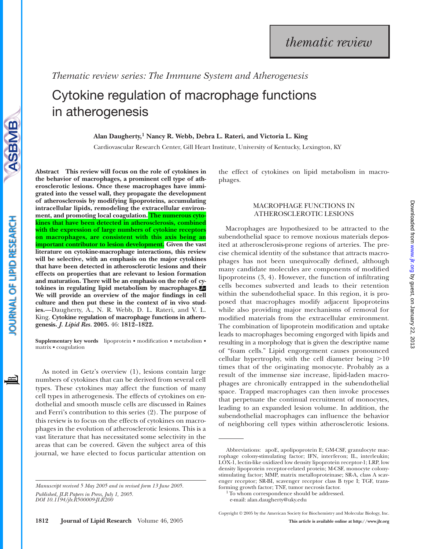*Thematic review series: The Immune System and Atherogenesis*

# Cytokine regulation of macrophage functions in atherogenesis

**Alan Daugherty,1 Nancy R. Webb, Debra L. Rateri, and Victoria L. King**

Cardiovascular Research Center, Gill Heart Institute, University of Kentucky, Lexington, KY

**Abstract This review will focus on the role of cytokines in the behavior of macrophages, a prominent cell type of atherosclerotic lesions. Once these macrophages have immigrated into the vessel wall, they propagate the development of atherosclerosis by modifying lipoproteins, accumulating intracellular lipids, remodeling the extracellular environment, and promoting local coagulation. The numerous cytokines that have been detected in atherosclerosis, combined with the expression of large numbers of cytokine receptors on macrophages, are consistent with this axis being an important contributor to lesion development. Given the vast literature on cytokine-macrophage interactions, this review will be selective, with an emphasis on the major cytokines that have been detected in atherosclerotic lesions and their effects on properties that are relevant to lesion formation and maturation. There will be an emphasis on the role of cytokines in regulating lipid metabolism by macrophages. We will provide an overview of the major findings in cell culture and then put these in the context of in vivo studies.**—Daugherty, A., N. R. Webb, D. L. Rateri, and V. L. King. **Cytokine regulation of macrophage functions in atherogenesis.** *J. Lipid Res.* **2005.** 46: **1812–1822.**

**Supplementary key words** lipoprotein • modification • metabolism • matrix • coagulation

As noted in Getz's overview (1), lesions contain large numbers of cytokines that can be derived from several cell types. These cytokines may affect the function of many cell types in atherogenesis. The effects of cytokines on endothelial and smooth muscle cells are discussed in Raines and Ferri's contribution to this series (2). The purpose of this review is to focus on the effects of cytokines on macrophages in the evolution of atherosclerotic lesions. This is a vast literature that has necessitated some selectivity in the areas that can be covered. Given the subject area of this journal, we have elected to focus particular attention on

the effect of cytokines on lipid metabolism in macrophages.

# MACROPHAGE FUNCTIONS IN ATHEROSCLEROTIC LESIONS

Macrophages are hypothesized to be attracted to the subendothelial space to remove noxious materials deposited at atherosclerosis-prone regions of arteries. The precise chemical identity of the substance that attracts macrophages has not been unequivocally defined, although many candidate molecules are components of modified lipoproteins (3, 4). However, the function of infiltrating cells becomes subverted and leads to their retention within the subendothelial space. In this region, it is proposed that macrophages modify adjacent lipoproteins while also providing major mechanisms of removal for modified materials from the extracellular environment. The combination of lipoprotein modification and uptake leads to macrophages becoming engorged with lipids and resulting in a morphology that is given the descriptive name of "foam cells." Lipid engorgement causes pronounced cellular hypertrophy, with the cell diameter being  $>10$ times that of the originating monocyte. Probably as a result of the immense size increase, lipid-laden macrophages are chronically entrapped in the subendothelial space. Trapped macrophages can then invoke processes that perpetuate the continual recruitment of monocytes, leading to an expanded lesion volume. In addition, the subendothelial macrophages can influence the behavior of neighboring cell types within atherosclerotic lesions.



*Manuscript received 5 May 2005 and in revised form 13 June 2005.*

Abbreviations: apoE, apolipoprotein E; GM-CSF, granulocyte macrophage colony-stimulating factor; IFN, interferon; IL, interleukin; LOX-1, lectin-like oxidized low density lipoprotein receptor-1; LRP, low density lipoprotein receptor-related protein; M-CSF, monocyte colonystimulating factor; MMP, matrix metalloproteinase; SR-A, class A scavenger receptor; SR-BI, scavenger receptor class B type I; TGF, transforming growth factor; TNF, tumor necrosis factor.

<sup>&</sup>lt;sup>1</sup> To whom correspondence should be addressed.

e-mail: alan.daugherty@uky.edu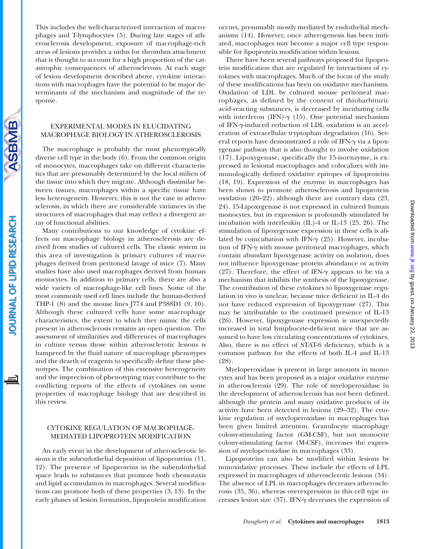This includes the well-characterized interaction of macrophages and T-lymphocytes (5). During late stages of atherosclerosis development, exposure of macrophage-rich areas of lesions provides a nidus for thrombus attachment that is thought to account for a high proportion of the catastrophic consequences of atherosclerosis. At each stage of lesion development described above, cytokine interactions with macrophages have the potential to be major determinants of the mechanism and magnitude of the response.

## EXPERIMENTAL MODES IN ELUCIDATING MACROPHAGE BIOLOGY IN ATHEROSCLEROSIS

SBMB

OURNAL OF LIPID RESEARCH

The macrophage is probably the most phenotypically diverse cell type in the body (6). From the common origin of monocytes, macrophages take on different characteristics that are presumably determined by the local milieu of the tissue into which they migrate. Although dissimilar between tissues, macrophages within a specific tissue have less heterogeneity. However, this is not the case in atherosclerosis, in which there are considerable variances in the structures of macrophages that may reflect a divergent array of functional abilities.

Many contributions to our knowledge of cytokine effects on macrophage biology in atherosclerosis are derived from studies of cultured cells. The classic system in this area of investigation is primary cultures of macrophages derived from peritoneal lavage of mice (7). Many studies have also used macrophages derived from human monocytes. In addition to primary cells, there are also a wide variety of macrophage-like cell lines. Some of the most commonly used cell lines include the human-derived THP-1 (8) and the mouse lines J774 and P388D1 (9, 10). Although these cultured cells have some macrophage characteristics, the extent to which they mimic the cells present in atherosclerosis remains an open question. The assessment of similarities and differences of macrophages in culture versus those within atherosclerotic lesions is hampered by the fluid nature of macrophage phenotypes and the dearth of reagents to specifically define these phenotypes. The combination of this extensive heterogeneity and the imprecision of phenotyping may contribute to the conflicting reports of the effects of cytokines on some properties of macrophage biology that are described in this review.

#### CYTOKINE REGULATION OF MACROPHAGE-MEDIATED LIPOPROTEIN MODIFICATION

An early event in the development of atherosclerotic lesions is the subendothelial deposition of lipoproteins (11, 12). The presence of lipoproteins in the subendothelial space leads to substances that promote both chemotaxis and lipid accumulation in macrophages. Several modifications can promote both of these properties (3, 13). In the early phases of lesion formation, lipoprotein modification

occurs, presumably mostly mediated by endothelial mechanisms (14). However, once atherogenesis has been initiated, macrophages may become a major cell type responsible for lipoprotein modification within lesions.

There have been several pathways proposed for lipoprotein modification that are regulated by interactions of cytokines with macrophages. Much of the focus of the study of these modifications has been on oxidative mechanisms. Oxidation of LDL by cultured mouse peritoneal macrophages, as defined by the content of thiobarbituric acid-reacting substances, is decreased by incubating cells with interferon (IFN)- $\gamma$  (15). One potential mechanism of IFN---induced reduction of LDL oxidation is an acceleration of extracellular tryptophan degradation (16). Several reports have demonstrated a role of IFN- $\gamma$  via a lipoxygenase pathway that is also thought to involve oxidation (17). Lipoxygenase, specifically the 15-isoenzyme, is expressed in lesional macrophages and colocalizes with immunologically defined oxidative epitopes of lipoproteins (18, 19). Expression of the enzyme in macrophages has been shown to promote atherosclerosis and lipoprotein oxidation (20–22), although there are contrary data (23, 24). 15-Lipoxygenase is not expressed in cultured human monocytes, but its expression is profoundly stimulated by incubation with interleukin (IL)-4 or IL-13 (25, 26). The stimulation of lipoxygenase expression in these cells is ablated by coincubation with IFN- $\gamma$  (25). However, incubation of IFN- $\gamma$  with mouse peritoneal macrophages, which contain abundant lipoxygenase activity on isolation, does not influence lipoxygenase protein abundance or activity (27). Therefore, the effect of IFN- $\gamma$  appears to be via a mechanism that inhibits the synthesis of the lipoxygenase. The contribution of these cytokines to lipoxygenase regulation in vivo is unclear, because mice deficient in IL-4 do not have reduced expression of lipoxygenase (27). This may be attributable to the continued presence of IL-13 (26). However, lipoxygenase expression is unexpectedly increased in total lymphocyte-deficient mice that are assumed to have low circulating concentrations of cytokines. Also, there is no effect of STAT-6 deficiency, which is a common pathway for the effects of both IL-4 and IL-13 (28).

Myeloperoxidase is present in large amounts in monocytes and has been proposed as a major oxidative enzyme in atherosclerosis (29). The role of myeloperoxidase in the development of atherosclerosis has not been defined, although the protein and many oxidative products of its activity have been detected in lesions (29–32). The cytokine regulation of myeloperoxidase in macrophages has been given limited attention. Granulocyte macrophage colony-stimulating factor (GM-CSF), but not monocyte colony-stimulating factor (M-CSF), increases the expression of myeloperoxidase in macrophages (33).

Lipoproteins can also be modified within lesions by nonoxidative processes. These include the effects of LPL expressed in macrophages of atherosclerotic lesions (34). The absence of LPL in macrophages decreases atherosclerosis (35, 36), whereas overexpression in this cell type increases lesion size (37). IFN-y decreases the expression of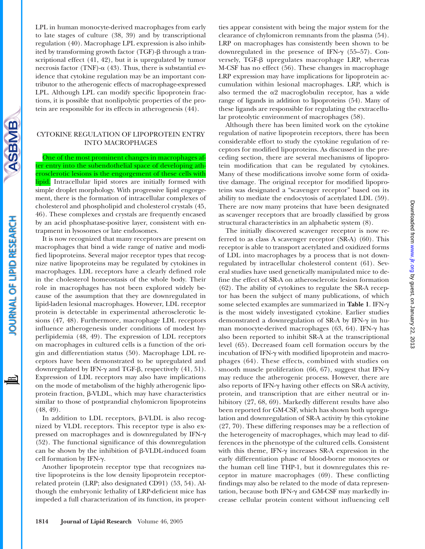Downloaded from www.jlr.org by guest, on January 22, 2013 by guest, on January 22, 2013 [www.jlr.org](http://www.jlr.org/) Downloaded from

LPL in human monocyte-derived macrophages from early to late stages of culture (38, 39) and by transcriptional regulation (40). Macrophage LPL expression is also inhibited by transforming growth factor  $(TGF)$ - $\beta$  through a transcriptional effect (41, 42), but it is upregulated by tumor necrosis factor (TNF)- $\alpha$  (43). Thus, there is substantial evidence that cytokine regulation may be an important contributor to the atherogenic effects of macrophage-expressed LPL. Although LPL can modify specific lipoprotein fractions, it is possible that nonlipolytic properties of the protein are responsible for its effects in atherogenesis (44).

# CYTOKINE REGULATION OF LIPOPROTEIN ENTRY INTO MACROPHAGES

One of the most prominent changes in macrophages after entry into the subendothelial space of developing atherosclerotic lesions is the engorgement of these cells with lipid. Intracellular lipid stores are initially formed with simple droplet morphology. With progressive lipid engorgement, there is the formation of intracellular complexes of cholesterol and phospholipid and cholesterol crystals (45, 46). These complexes and crystals are frequently encased by an acid phosphatase-positive layer, consistent with entrapment in lysosomes or late endosomes.

It is now recognized that many receptors are present on macrophages that bind a wide range of native and modified lipoproteins. Several major receptor types that recognize native lipoproteins may be regulated by cytokines in macrophages. LDL receptors have a clearly defined role in the cholesterol homeostasis of the whole body. Their role in macrophages has not been explored widely because of the assumption that they are downregulated in lipid-laden lesional macrophages. However, LDL receptor protein is detectable in experimental atherosclerotic lesions (47, 48). Furthermore, macrophage LDL receptors influence atherogenesis under conditions of modest hyperlipidemia (48, 49). The expression of LDL receptors on macrophages in cultured cells is a function of the origin and differentiation status (50). Macrophage LDL receptors have been demonstrated to be upregulated and downregulated by IFN- $\gamma$  and TGF- $\beta$ , respectively (41, 51). Expression of LDL receptors may also have implications on the mode of metabolism of the highly atherogenic lipoprotein fraction,  $\beta$ -VLDL, which may have characteristics similar to those of postprandial chylomicron lipoproteins (48, 49).

In addition to LDL receptors,  $\beta$ -VLDL is also recognized by VLDL receptors. This receptor type is also expressed on macrophages and is downregulated by IFN- $\gamma$ (52). The functional significance of this downregulation can be shown by the inhibition of  $\beta$ -VLDL-induced foam cell formation by IFN- $\gamma$ .

Another lipoprotein receptor type that recognizes native lipoproteins is the low density lipoprotein receptorrelated protein (LRP; also designated CD91) (53, 54). Although the embryonic lethality of LRP-deficient mice has impeded a full characterization of its function, its properties appear consistent with being the major system for the clearance of chylomicron remnants from the plasma (54). LRP on macrophages has consistently been shown to be downregulated in the presence of IFN- $\gamma$  (55-57). Conversely,  $TGF- $\beta$  upregulates macrophage LRP, whereas$ M-CSF has no effect (56). These changes in macrophage LRP expression may have implications for lipoprotein accumulation within lesional macrophages. LRP, which is also termed the  $\alpha$ 2 macroglobulin receptor, has a wide range of ligands in addition to lipoproteins (54). Many of these ligands are responsible for regulating the extracellular proteolytic environment of macrophages (58).

Although there has been limited work on the cytokine regulation of native lipoprotein receptors, there has been considerable effort to study the cytokine regulation of receptors for modified lipoproteins. As discussed in the preceding section, there are several mechanisms of lipoprotein modification that can be regulated by cytokines. Many of these modifications involve some form of oxidative damage. The original receptor for modified lipoproteins was designated a "scavenger receptor" based on its ability to mediate the endocytosis of acetylated LDL (59). There are now many proteins that have been designated as scavenger receptors that are broadly classified by gross structural characteristics in an alphabetic system (8).

The initially discovered scavenger receptor is now referred to as class A scavenger receptor (SR-A) (60). This receptor is able to transport acetylated and oxidized forms of LDL into macrophages by a process that is not downregulated by intracellular cholesterol content (61). Several studies have used genetically manipulated mice to define the effect of SR-A on atherosclerotic lesion formation (62). The ability of cytokines to regulate the SR-A receptor has been the subject of many publications, of which some selected examples are summarized in Table 1. IFN-γ is the most widely investigated cytokine. Earlier studies demonstrated a downregulation of SR-A by IFN- $\gamma$  in human monocyte-derived macrophages (63, 64). IFN- $\gamma$  has also been reported to inhibit SR-A at the transcriptional level (65). Decreased foam cell formation occurs by the incubation of IFN- $\gamma$  with modified lipoprotein and macrophages (64). These effects, combined with studies on smooth muscle proliferation (66, 67), suggest that IFN- $\gamma$ may reduce the atherogenic process. However, there are also reports of IFN- $\gamma$  having other effects on SR-A activity, protein, and transcription that are either neutral or inhibitory (27, 68, 69). Markedly different results have also been reported for GM-CSF, which has shown both upregulation and downregulation of SR-A activity by this cytokine (27, 70). These differing responses may be a reflection of the heterogeneity of macrophages, which may lead to differences in the phenotype of the cultured cells. Consistent with this theme, IFN- $\gamma$  increases SR-A expression in the early differentiation phase of blood-borne monocytes or the human cell line THP-1, but it downregulates this receptor in mature macrophages (69). These conflicting findings may also be related to the mode of data representation, because both IFN- $\gamma$  and GM-CSF may markedly increase cellular protein content without influencing cell

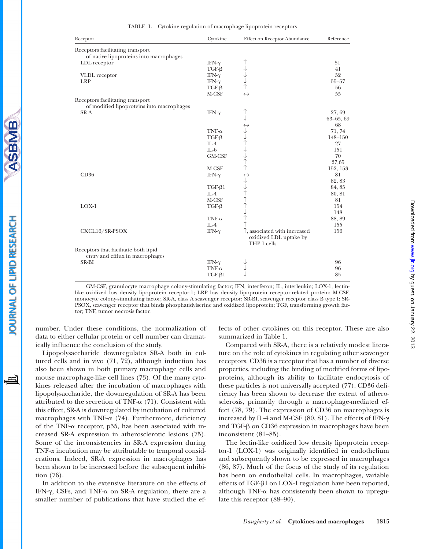| Receptor                                  | Cytokine                      | <b>Effect on Receptor Abundance</b>    | Reference     |
|-------------------------------------------|-------------------------------|----------------------------------------|---------------|
| Receptors facilitating transport          |                               |                                        |               |
| of native lipoproteins into macrophages   |                               |                                        |               |
| LDL receptor                              | IFN- $\gamma$                 |                                        | 51            |
|                                           | $TGF-\beta$                   |                                        | 41            |
| VLDL receptor                             | IFN- $\gamma$                 |                                        | 52            |
| <b>LRP</b>                                | IFN- $\gamma$                 |                                        | $55 - 57$     |
|                                           | $TGF-\beta$                   |                                        | 56            |
|                                           | M-CSF                         | $\leftrightarrow$                      | 55            |
| Receptors facilitating transport          |                               |                                        |               |
| of modified lipoproteins into macrophages |                               |                                        |               |
| SR-A                                      | IFN- $\gamma$                 |                                        | 27,69         |
|                                           |                               | ↓                                      | $63 - 65, 69$ |
|                                           |                               |                                        | 68            |
|                                           | $TNF-\alpha$                  |                                        | 71, 74        |
|                                           | $TGF-\beta$                   |                                        | 148-150       |
|                                           | $II - 4$                      | →→↑→→↑↑ →→↑↑↑↑→↑                       | 27            |
|                                           | $IL-6$                        |                                        | 151           |
|                                           | GM-CSF                        |                                        | 70            |
|                                           |                               |                                        | 27,65         |
|                                           | M-CSF                         |                                        | 152, 153      |
| CD36                                      | IFN- $\gamma$                 |                                        | 81            |
|                                           |                               |                                        | 82, 83        |
|                                           | $TGF-\beta1$                  |                                        | 84, 85        |
|                                           | $IL-4$                        |                                        | 80, 81        |
|                                           | M-CSF                         |                                        | 81            |
| $LOX-1$                                   | $TGF-\beta$                   |                                        | 154           |
|                                           |                               |                                        | 148           |
|                                           | $TNF-\alpha$                  |                                        | 88, 89        |
|                                           | $IL-4$                        | $\uparrow$                             | 155           |
| CXCL16/SR-PSOX                            | IFN- $\gamma$                 | $\uparrow$ , associated with increased | 156           |
|                                           |                               | oxidized LDL uptake by                 |               |
|                                           |                               | THP-1 cells                            |               |
|                                           |                               |                                        |               |
| Receptors that facilitate both lipid      |                               |                                        |               |
| entry and efflux in macrophages           |                               |                                        | 96            |
| SR-BI                                     | IFN- $\gamma$<br>$TNF-\alpha$ |                                        |               |
|                                           |                               |                                        | 96<br>85      |
|                                           | $TGF-\beta1$                  |                                        |               |

| TABLE 1. | Cytokine regulation of macrophage lipoprotein receptors |  |  |  |  |  |
|----------|---------------------------------------------------------|--|--|--|--|--|
|----------|---------------------------------------------------------|--|--|--|--|--|

GM-CSF, granulocyte macrophage colony-stimulating factor; IFN, interferon; IL, interleukin; LOX-1, lectinlike oxidized low density lipoprotein receptor-1; LRP low density lipoprotein receptor-related protein; M-CSF, monocyte colony-stimulating factor; SR-A, class A scavenger receptor; SR-BI, scavenger receptor class B type I; SR-PSOX, scavenger receptor that binds phosphatidylserine and oxidized lipoprotein; TGF, transforming growth factor; TNF, tumor necrosis factor.

number. Under these conditions, the normalization of data to either cellular protein or cell number can dramatically influence the conclusion of the study.

Lipopolysaccharide downregulates SR-A both in cultured cells and in vivo (71, 72), although induction has also been shown in both primary macrophage cells and mouse macrophage-like cell lines (73). Of the many cytokines released after the incubation of macrophages with lipopolysaccharide, the downregulation of SR-A has been attributed to the secretion of TNF- $\alpha$  (71). Consistent with this effect, SR-A is downregulated by incubation of cultured macrophages with TNF- $\alpha$  (74). Furthermore, deficiency of the TNF- $\alpha$  receptor, p55, has been associated with increased SR-A expression in atherosclerotic lesions (75). Some of the inconsistencies in SR-A expression during TNF- $\alpha$  incubation may be attributable to temporal considerations. Indeed, SR-A expression in macrophages has been shown to be increased before the subsequent inhibition (76).

In addition to the extensive literature on the effects of IFN- $\gamma$ , CSFs, and TNF- $\alpha$  on SR-A regulation, there are a smaller number of publications that have studied the effects of other cytokines on this receptor. These are also summarized in Table 1.

Compared with SR-A, there is a relatively modest literature on the role of cytokines in regulating other scavenger receptors. CD36 is a receptor that has a number of diverse properties, including the binding of modified forms of lipoproteins, although its ability to facilitate endocytosis of these particles is not universally accepted (77). CD36 deficiency has been shown to decrease the extent of atherosclerosis, primarily through a macrophage-mediated effect (78, 79). The expression of CD36 on macrophages is increased by IL-4 and M-CSF  $(80, 81)$ . The effects of IFN- $\gamma$ and TGF- $\beta$  on CD36 expression in macrophages have been inconsistent (81–85).

The lectin-like oxidized low density lipoprotein receptor-1 (LOX-1) was originally identified in endothelium and subsequently shown to be expressed in macrophages (86, 87). Much of the focus of the study of its regulation has been on endothelial cells. In macrophages, variable effects of TGF- $\beta$ 1 on LOX-1 regulation have been reported, although TNF- $\alpha$  has consistently been shown to upregulate this receptor (88–90).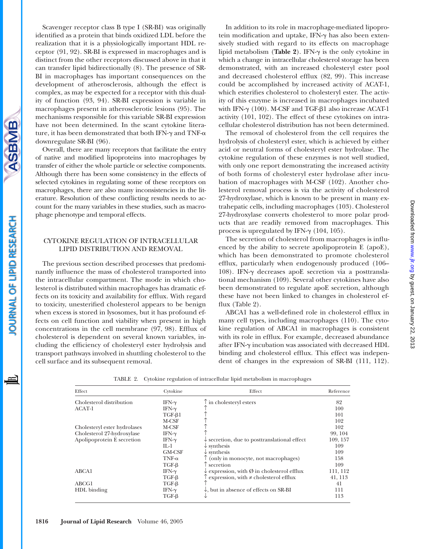Downloaded from www.jlr.org by guest, on January 22, 2013 by guest, on January 22, 2013 [www.jlr.org](http://www.jlr.org/) Downloaded from

Scavenger receptor class B type I (SR-BI) was originally identified as a protein that binds oxidized LDL before the realization that it is a physiologically important HDL receptor (91, 92). SR-BI is expressed in macrophages and is distinct from the other receptors discussed above in that it can transfer lipid bidirectionally (8). The presence of SR-BI in macrophages has important consequences on the development of atherosclerosis, although the effect is complex, as may be expected for a receptor with this duality of function (93, 94). SR-BI expression is variable in macrophages present in atherosclerotic lesions (95). The mechanisms responsible for this variable SR-BI expression have not been determined. In the scant cytokine literature, it has been demonstrated that both IFN- $\gamma$  and TNF- $\alpha$ downregulate SR-BI (96).

Overall, there are many receptors that facilitate the entry of native and modified lipoproteins into macrophages by transfer of either the whole particle or selective components. Although there has been some consistency in the effects of selected cytokines in regulating some of these receptors on macrophages, there are also many inconsistencies in the literature. Resolution of these conflicting results needs to account for the many variables in these studies, such as macrophage phenotype and temporal effects.

## CYTOKINE REGULATION OF INTRACELLULAR LIPID DISTRIBUTION AND REMOVAL

The previous section described processes that predominantly influence the mass of cholesterol transported into the intracellular compartment. The mode in which cholesterol is distributed within macrophages has dramatic effects on its toxicity and availability for efflux. With regard to toxicity, unesterified cholesterol appears to be benign when excess is stored in lysosomes, but it has profound effects on cell function and viability when present in high concentrations in the cell membrane (97, 98). Efflux of cholesterol is dependent on several known variables, including the efficiency of cholesteryl ester hydrolysis and transport pathways involved in shuttling cholesterol to the cell surface and its subsequent removal.

In addition to its role in macrophage-mediated lipoprotein modification and uptake, IFN-y has also been extensively studied with regard to its effects on macrophage lipid metabolism (Table 2). IFN- $\gamma$  is the only cytokine in which a change in intracellular cholesterol storage has been demonstrated, with an increased cholesteryl ester pool and decreased cholesterol efflux (82, 99). This increase could be accomplished by increased activity of ACAT-1, which esterifies cholesterol to cholesteryl ester. The activity of this enzyme is increased in macrophages incubated with IFN- $\gamma$  (100). M-CSF and TGF- $\beta$ 1 also increase ACAT-1 activity (101, 102). The effect of these cytokines on intracellular cholesterol distribution has not been determined.

The removal of cholesterol from the cell requires the hydrolysis of cholesteryl ester, which is achieved by either acid or neutral forms of cholesteryl ester hydrolase. The cytokine regulation of these enzymes is not well studied, with only one report demonstrating the increased activity of both forms of cholesteryl ester hydrolase after incubation of macrophages with M-CSF (102). Another cholesterol removal process is via the activity of cholesterol 27-hydroxylase, which is known to be present in many extrahepatic cells, including macrophages (103). Cholesterol 27-hydroxylase converts cholesterol to more polar products that are readily removed from macrophages. This process is upregulated by IFN- $\gamma$  (104, 105).

The secretion of cholesterol from macrophages is influenced by the ability to secrete apolipoprotein E (apoE), which has been demonstrated to promote cholesterol efflux, particularly when endogenously produced (106– 108). IFN-γ decreases apoE secretion via a posttranslational mechanism (109). Several other cytokines have also been demonstrated to regulate apoE secretion, although these have not been linked to changes in cholesterol efflux (Table 2).

ABCA1 has a well-defined role in cholesterol efflux in many cell types, including macrophages (110). The cytokine regulation of ABCA1 in macrophages is consistent with its role in efflux. For example, decreased abundance after IFN- $\gamma$  incubation was associated with decreased HDL binding and cholesterol efflux. This effect was independent of changes in the expression of SR-BI (111, 112).

| Effect                       | Cytokine      | Effect                                                          | Reference |
|------------------------------|---------------|-----------------------------------------------------------------|-----------|
| Cholesterol distribution     | IFN- $\gamma$ | T in cholesteryl esters                                         | 82        |
| $ACAT-1$                     | IFN- $\gamma$ |                                                                 | 100       |
|                              | $TGF-61$      |                                                                 | 101       |
|                              | M-CSF         |                                                                 | 102       |
| Cholesteryl ester hydrolases | M-CSF         |                                                                 | 102       |
| Cholesterol 27-hydroxylase   | IFN- $\gamma$ |                                                                 | 99, 104   |
| Apolipoprotein E secretion   | IFN- $\gamma$ | $\downarrow$ secretion, due to posttranslational effect         | 109, 157  |
|                              | IL-1.         | $\downarrow$ synthesis                                          | 109       |
|                              | <b>GM-CSF</b> | $\downarrow$ synthesis                                          | 109       |
|                              | $TNF-\alpha$  | T (only in monocyte, not macrophages)                           | 158       |
|                              | $TGF-\beta$   | T secretion.                                                    | 109       |
| ABCA1                        | IFN- $\gamma$ | $\downarrow$ expression, with $\emptyset$ in cholesterol efflux | 111, 112  |
|                              | $TGF-\beta$   | $\uparrow$ expression, with $\neq$ cholesterol efflux           | 41, 113   |
| ABCG1                        | $TGF-\beta$   |                                                                 | 41        |
| HDL binding                  | IFN- $\gamma$ | $\downarrow$ , but in absence of effects on SR-BI               | 111       |
|                              | $TGF-\beta$   |                                                                 | 113       |

TABLE 2. Cytokine regulation of intracellular lipid metabolism in macrophages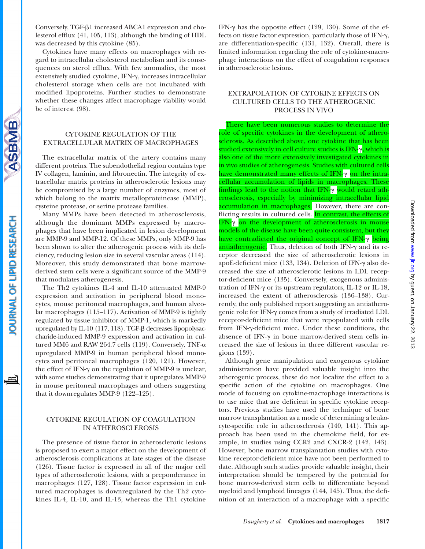Conversely, TGF- $\beta$ 1 increased ABCA1 expression and cholesterol efflux (41, 105, 113), although the binding of HDL was decreased by this cytokine (85).

Cytokines have many effects on macrophages with regard to intracellular cholesterol metabolism and its consequences on sterol efflux. With few anomalies, the most extensively studied cytokine, IFN-y, increases intracellular cholesterol storage when cells are not incubated with modified lipoproteins. Further studies to demonstrate whether these changes affect macrophage viability would be of interest (98).

# CYTOKINE REGULATION OF THE EXTRACELLULAR MATRIX OF MACROPHAGES

**SBMB** 

OURNAL OF LIPID RESEARCH

The extracellular matrix of the artery contains many different proteins. The subendothelial region contains type IV collagen, laminin, and fibronectin. The integrity of extracellular matrix proteins in atherosclerotic lesions may be compromised by a large number of enzymes, most of which belong to the matrix metalloproteinease (MMP), cysteine protease, or serine protease families.

Many MMPs have been detected in atherosclerosis, although the dominant MMPs expressed by macrophages that have been implicated in lesion development are MMP-9 and MMP-12. Of these MMPs, only MMP-9 has been shown to alter the atherogenic process with its deficiency, reducing lesion size in several vascular areas (114). Moreover, this study demonstrated that bone marrowderived stem cells were a significant source of the MMP-9 that modulates atherogenesis.

The Th2 cytokines IL-4 and IL-10 attenuated MMP-9 expression and activation in peripheral blood monocytes, mouse peritoneal macrophages, and human alveolar macrophages (115–117). Activation of MMP-9 is tightly regulated by tissue inhibitor of MMP-1, which is markedly upregulated by IL-10 (117, 118). TGF- $\beta$  decreases lipopolysaccharide-induced MMP-9 expression and activation in cultured MM6 and RAW 264.7 cells (119). Conversely, TNF- $\alpha$ upregulated MMP-9 in human peripheral blood monocytes and peritoneal macrophages (120, 121). However, the effect of IFN- $\gamma$  on the regulation of MMP-9 is unclear, with some studies demonstrating that it upregulates MMP-9 in mouse peritoneal macrophages and others suggesting that it downregulates MMP-9 (122–125).

# CYTOKINE REGULATION OF COAGULATION IN ATHEROSCLEROSIS

The presence of tissue factor in atherosclerotic lesions is proposed to exert a major effect on the development of atherosclerosis complications at late stages of the disease (126). Tissue factor is expressed in all of the major cell types of atherosclerotic lesions, with a preponderance in macrophages (127, 128). Tissue factor expression in cultured macrophages is downregulated by the Th2 cytokines IL-4, IL-10, and IL-13, whereas the Th1 cytokine

IFN- $\gamma$  has the opposite effect (129, 130). Some of the effects on tissue factor expression, particularly those of IFN- $\gamma$ , are differentiation-specific (131, 132). Overall, there is limited information regarding the role of cytokine-macrophage interactions on the effect of coagulation responses in atherosclerotic lesions.

# EXTRAPOLATION OF CYTOKINE EFFECTS ON CULTURED CELLS TO THE ATHEROGENIC PROCESS IN VIVO

There have been numerous studies to determine the role of specific cytokines in the development of atherosclerosis. As described above, one cytokine that has been studied extensively in cell culture studies is IFN- $\gamma$ , which is also one of the more extensively investigated cytokines in in vivo studies of atherogenesis. Studies with cultured cells have demonstrated many effects of IFN- $\gamma$  <mark>on the intra-</mark> cellular accumulation of lipids in macrophages. These findings lead to the notion that IFN- $\gamma$  <mark>would</mark> retard atherosclerosis, especially by minimizing intracellular lipid accumulation in macrophages. However, there are conflicting results in cultured cells. In contrast, the effects of IFN-y on the development of atherosclerosis in mouse models of the disease have been quite consistent, but they have contradicted the original concept of IFN- $\gamma$  <mark>being</mark> <mark>antiatherogenic.</mark> Thus, deletion of both IFN-γ and its receptor decreased the size of atherosclerotic lesions in apoE-deficient mice (133, 134). Deletion of IFN- $\gamma$  also decreased the size of atherosclerotic lesions in LDL receptor-deficient mice (135). Conversely, exogenous administration of IFN- $\gamma$  or its upstream regulators, IL-12 or IL-18, increased the extent of atherosclerosis (136–138). Currently, the only published report suggesting an antiatherogenic role for IFN- $\gamma$  comes from a study of irradiated LDL receptor-deficient mice that were repopulated with cells from IFN-y-deficient mice. Under these conditions, the absence of IFN- $\gamma$  in bone marrow-derived stem cells increased the size of lesions in three different vascular regions (139).

Although gene manipulation and exogenous cytokine administration have provided valuable insight into the atherogenic process, these do not localize the effect to a specific action of the cytokine on macrophages. One mode of focusing on cytokine-macrophage interactions is to use mice that are deficient in specific cytokine receptors. Previous studies have used the technique of bone marrow transplantation as a mode of determining a leukocyte-specific role in atherosclerosis (140, 141). This approach has been used in the chemokine field, for example, in studies using CCR2 and CXCR-2 (142, 143). However, bone marrow transplantation studies with cytokine receptor-deficient mice have not been performed to date. Although such studies provide valuable insight, their interpretation should be tempered by the potential for bone marrow-derived stem cells to differentiate beyond myeloid and lymphoid lineages (144, 145). Thus, the definition of an interaction of a macrophage with a specific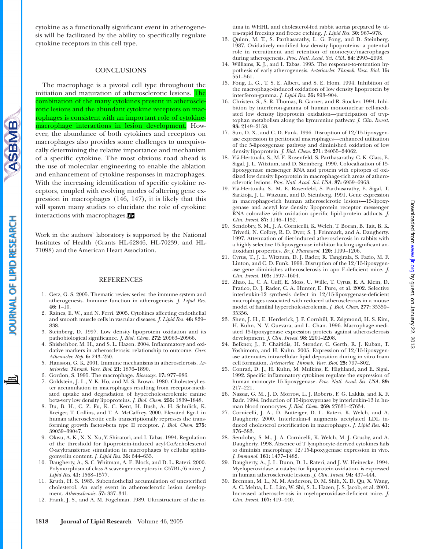cytokine as a functionally significant event in atherogenesis will be facilitated by the ability to specifically regulate cytokine receptors in this cell type.

#### **CONCLUSIONS**

The macrophage is a pivotal cell type throughout the initiation and maturation of atherosclerotic lesions. The combination of the many cytokines present in atherosclerotic lesions and the abundant cytokine receptors on macrophages is consistent with an important role of cytokinemacrophage interactions in lesion development. However, the abundance of both cytokines and receptors on macrophages also provides some challenges to unequivocally determining the relative importance and mechanism of a specific cytokine. The most obvious road ahead is the use of molecular engineering to enable the ablation and enhancement of cytokine responses in macrophages. With the increasing identification of specific cytokine receptors, coupled with evolving modes of altering gene expression in macrophages (146, 147), it is likely that this will spawn many studies to elucidate the role of cytokine interactions with macrophages.

Work in the authors' laboratory is supported by the National Institutes of Health (Grants HL-62846, HL-70239, and HL-71098) and the American Heart Association.

#### REFERENCES

- 1. Getz, G. S. 2005. Thematic review series: the immune system and atherogenesis. Immune function in atherogenesis. *J. Lipid Res.* **46:** 1–10.
- 2. Raines, E. W., and N. Ferri. 2005. Cytokines affecting endothelial and smooth muscle cells in vascular diseases. *J. Lipid Res.* **46:** 829– 838.
- 3. Steinberg, D. 1997. Low density lipoprotein oxidation and its pathobiological significance. *J. Biol. Chem.* **272:** 20963–20966.
- 4. Shishehbor, M. H., and S. L. Hazen. 2004. Inflammatory and oxidative markers in atherosclerosis: relationship to outcome. *Curr. Atheroscler. Rep.* **6:** 243–250.
- 5. Hansson, G. K. 2001. Immune mechanisms in atherosclerosis. *Arterioscler. Thromb. Vasc. Biol.* **21:** 1876–1890.
- 6. Gordon, S. 1995. The macrophage. *Bioessays.* **17:** 977–986.
- 7. Goldstein, J. L., Y. K. Ho, and M. S. Brown. 1980. Cholesteryl ester accumulation in macrophages resulting from receptor-mediated uptake and degradation of hypercholesterolemic canine beta-very low density lipoproteins. *J. Biol. Chem.* **255:** 1839–1848.
- 8. Du, B. H., C. Z. Fu, K. C. Kent, H. Bush, A. H. Schulick, K. Kreiger, T. Collins, and T. A. McCaffrey. 2000. Elevated Egr-1 in human atherosclerotic cells transcriptionally represses the transforming growth factor-beta type II receptor. *J. Biol. Chem.* **275:** 39039–39047.
- 9. Okwu, A. K., X. X. Xu, Y. Shiratori, and I. Tabas. 1994. Regulation of the threshold for lipoprotein-induced acyl-CoA:cholesterol O-acyltransferase stimulation in macrophages by cellular sphingomyelin content. *J. Lipid Res.* **35:** 644–655.
- 10. Daugherty, A., S. C. Whitman, A. E. Block, and D. L. Rateri. 2000. Polymorphism of class A scavenger receptors in C57BL/6 mice. *J. Lipid Res.* **41:** 1568–1577.
- 11. Kruth, H. S. 1985. Subendothelial accumulation of unesterified cholesterol. An early event in atherosclerotic lesion development. *Atherosclerosis.* **57:** 337–341.
- 12. Frank, J. S., and A. M. Fogelman. 1989. Ultrastructure of the in-

tima in WHHL and cholesterol-fed rabbit aortas prepared by ultra-rapid freezing and freeze etching. *J. Lipid Res.* **30:** 967–978.

- 13. Quinn, M. T., S. Parthasarathy, L. G. Fong, and D. Steinberg. 1987. Oxidatively modified low density lipoproteins: a potential role in recruitment and retention of monocyte/macrophages during atherogenesis. *Proc. Natl. Acad. Sci. USA.* **84:** 2995–2998.
- 14. Williams, K. J., and I. Tabas. 1995. The response-to-retention hypothesis of early atherogenesis. *Arterioscler. Thromb. Vasc. Biol.* **15:** 551–561.
- 15. Fong, L. G., T. S. E. Albert, and S. E. Hom. 1994. Inhibition of the macrophage-induced oxidation of low density lipoprotein by interferon-gamma. *J. Lipid Res.* **35:** 893–904.
- 16. Christen, S., S. R. Thomas, B. Garner, and R. Stocker. 1994. Inhibition by interferon-gamma of human mononuclear cell-mediated low density lipoprotein oxidation—participation of tryptophan metabolism along the kynurenine pathway. *J. Clin. Invest.* **93:** 2149–2158.
- 17. Sun, D. X., and C. D. Funk. 1996. Disruption of 12/15-lipoxygenase expression in peritoneal macrophages—enhanced utilization of the 5-lipoxygenase pathway and diminished oxidation of low density lipoprotein. *J. Biol. Chem.* **271:** 24055–24062.
- 18. Ylä-Herttuala, S., M. E. Rosenfeld, S. Parthasarathy, C. K. Glass, E. Sigal, J. L. Witztum, and D. Steinberg. 1990. Colocalization of 15 lipoxygenase messenger RNA and protein with epitopes of oxidized low density lipoprotein in macrophage-rich areas of atherosclerotic lesions. *Proc. Natl. Acad. Sci. USA.* **87:** 6959–6963.
- 19. Ylä-Herttuala, S., M. E. Rosenfeld, S. Parthasarathy, E. Sigal, T. Sarkioja, J. L. Witztum, and D. Steinberg. 1991. Gene expression in macrophage-rich human atherosclerotic lesions—15-lipoxygenase and acetyl low density lipoprotein receptor messenger RNA colocalize with oxidation specific lipid-protein adducts. *J. Clin. Invest.* **87:** 1146–1152.
- 20. Sendobry, S. M., J. A. Cornicelli, K. Welch, T. Bocan, B. Tait, B. K. Trivedi, N. Colbry, R. D. Dyer, S. J. Feinmark, and A. Daugherty. 1997. Attenuation of diet-induced atherosclerosis in rabbits with a highly selective 15-lipoxygenase inhibitor lacking significant antioxidant properties. *Br. J. Pharmacol.* **120:** 1199–1206.
- 21. Cyrus, T., J. L. Witztum, D. J. Rader, R. Tangirala, S. Fazio, M. F. Linton, and C. D. Funk. 1999. Disruption of the 12/15-lipoxygenase gene diminishes atherosclerosis in apo E-deficient mice. *J. Clin. Invest.* **103:** 1597–1604.
- 22. Zhao, L., C. A. Cuff, E. Moss, U. Wille, T. Cyrus, E. A. Klein, D. Pratico, D. J. Rader, C. A. Hunter, E. Pure, et al. 2002. Selective interleukin-12 synthesis defect in 12/15-lipoxygenase-deficient macrophages associated with reduced atherosclerosis in a mouse model of familial hypercholesterolemia. *J. Biol. Chem.* **277:** 35350– 35356.
- 23. Shen, J. H., E. Herderick, J. F. Cornhill, E. Zsigmond, H. S. Kim, H. Kuhn, N. V. Guevara, and L. Chan. 1996. Macrophage-mediated 15-lipoxygenase expression protects against atherosclerosis development. *J. Clin. Invest.* **98:** 2201–2208.
- 24. Belkner, J., P. Chaitidis, H. Stender, C. Gerth, R. J. Kuban, T. Yoshimoto, and H. Kuhn. 2005. Expression of 12/15-lipoxygenase attenuates intracellular lipid deposition during in vitro foam cell formation. *Arterioscler. Thromb. Vasc. Biol.* **25:** 797–802.
- 25. Conrad, D. J., H. Kuhn, M. Mulkins, E. Highland, and E. Sigal. 1992. Specific inflammatory cytokines regulate the expression of human monocyte 15-lipoxygenase. *Proc. Natl. Acad. Sci. USA.* **89:** 217–221.
- 26. Nassar, G. M., J. D. Morrow, L. J. Roberts, F. G. Lakkis, and K. F. Badr. 1994. Induction of 15-lipoxygenase by interleukin-13 in human blood monocytes. *J. Biol. Chem.* **269:** 27631–27634.
- 27. Cornicelli, J. A., D. Butteiger, D. L. Rateri, K. Welch, and A. Daugherty. 2000. Interleukin-4 augments acetylated LDL induced cholesterol esterification in macrophages. *J. Lipid Res.* **41:** 376–383.
- 28. Sendobry, S. M., J. A. Cornicelli, K. Welch, M. J. Grusby, and A. Daugherty. 1998. Absence of T lymphocyte-derived cytokines fails to diminish macrophage 12/15-lipoxygenase expression in vivo. *J. Immunol.* **161:** 1477–1482.
- 29. Daugherty, A., J. L. Dunn, D. L. Rateri, and J. W. Heinecke. 1994. Myeloperoxidase, a catalyst for lipoprotein oxidation, is expressed in human atherosclerotic lesions. *J. Clin. Invest.* **94:** 437–444.
- 30. Brennan, M. L., M. M. Anderson, D. M. Shih, X. D. Qu, X. Wang, A. C. Mehta, L. L. Lim, W. Shi, S. L. Hazen, J. S. Jacob, et al. 2001. Increased atherosclerosis in myeloperoxidase-deficient mice. *J. Clin. Invest.* **107:** 419–440.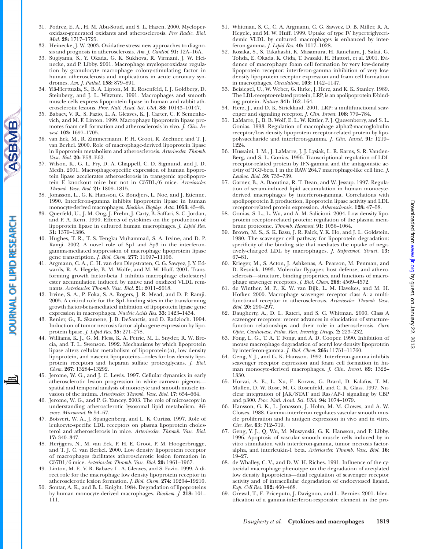- 31. Podrez, E. A., H. M. Abu-Soud, and S. L. Hazen. 2000. Myeloperoxidase-generated oxidants and atherosclerosis. *Free Radic. Biol. Med.* **28:** 1717–1725.
- 32. Heinecke, J. W. 2003. Oxidative stress: new approaches to diagnosis and prognosis in atherosclerosis. *Am. J. Cardiol.* **91:** 12A–16A.
- 33. Sugiyama, S., Y. Okada, G. K. Sukhova, R. Virmani, J. W. Heinecke, and P. Libby. 2001. Macrophage myeloperoxidase regulation by granulocyte macrophage colony-stimulating factor in human atherosclerosis and implications in acute coronary syndromes. *Am. J. Pathol.* **158:** 879–891.
- 34. Ylä-Herttuala, S., B. A. Lipton, M. E. Rosenfeld, I. J. Goldberg, D. Steinberg, and J. L. Witztum. 1991. Macrophages and smooth muscle cells express lipoprotein lipase in human and rabbit atherosclerotic lesions. *Proc. Natl. Acad. Sci. USA.* **88:** 10143–10147.
- 35. Babaev, V. R., S. Fazio, L. A. Gleaves, K. J. Carter, C. F. Semenkovich, and M. F. Linton. 1999. Macrophage lipoprotein lipase promotes foam cell formation and atherosclerosis in vivo. *J. Clin. Invest.* **103:** 1697–1705.
- 36. van Eck, M., R. Zimmermann, P. H. Groot, R. Zechner, and T. J. van Berkel. 2000. Role of macrophage-derived lipoprotein lipase in lipoprotein metabolism and atherosclerosis. *Arterioscler. Thromb. Vasc. Biol.* **20:** E53–E62.
- 37. Wilson, K., G. L. Fry, D. A. Chappell, C. D. Sigmund, and J. D. Medh. 2001. Macrophage-specific expression of human lipoprotein lipase accelerates atherosclerosis in transgenic apolipoprotein E knockout mice but not in C57BL/6 mice. *Arterioscler. Thromb. Vasc. Biol.* **21:** 1809–1815.
- 38. Jonasson, L., G. K. Hansson, G. Bondjers, L. Noe, and J. Etienne. 1990. Interferon-gamma inhibits lipoprotein lipase in human monocyte-derived macrophages. *Biochim. Biophys. Acta.* **1053:** 43–48.
- 39. Querfeld, U., J. M. Ong, J. Prehn, J. Carty, B. Saffari, S. C. Jordan, and P. A. Kern. 1990. Effects of cytokines on the production of lipoprotein lipase in cultured human macrophages. *J. Lipid Res.* **31:** 1379–1386.
- 40. Hughes, T. R., T. S. Tengku Muhammad, S. A. Irvine, and D. P. Ramji. 2002. A novel role of Sp1 and Sp3 in the interferongamma-mediated suppression of macrophage lipoprotein lipase gene transcription. *J. Biol. Chem.* **277:** 11097–11106.
- 41. Argmann, C. A., C. H. van den Diepstraten, C. G. Sawyez, J. Y. Edwards, R. A. Hegele, B. M. Wolfe, and M. W. Huff. 2001. Transforming growth factor-beta 1 inhibits macrophage cholesteryl ester accumulation induced by native and oxidized VLDL remnants. *Arterioscler. Thromb. Vasc. Biol.* **21:** 2011–2018.
- 42. Irvine, S. A., P. Foka, S. A. Rogers, J. R. Mead, and D. P. Ramji. 2005. A critical role for the Sp1-binding sites in the transforming growth factor-beta-mediated inhibition of lipoprotein lipase gene expression in macrophages. *Nucleic Acids Res.* **33:** 1423–1434.
- 43. Renier, G., E. Skamene, J. B. DeSanctis, and D. Radzioch. 1994. Induction of tumor necrosis factor alpha gene expression by lipoprotein lipase. *J. Lipid Res.* **35:** 271–278.
- 44. Williams, K. J., G. M. Fless, K. A. Petrie, M. L. Snyder, R. W. Brocia, and T. L. Swenson. 1992. Mechanisms by which lipoprotein lipase alters cellular metabolism of lipoprotein(a), low density lipoprotein, and nascent lipoproteins—roles for low density lipoprotein receptors and heparan sulfate proteoglycans. *J. Biol. Chem.* **267:** 13284–13292.
- 45. Jerome, W. G., and J. C. Lewis. 1997. Cellular dynamics in early atherosclerotic lesion progression in white carneau pigeons spatial and temporal analysis of monocyte and smooth muscle invasion of the intima. *Arterioscler. Thromb. Vasc. Biol.* **17:** 654–664.
- 46. Jerome, W. G., and P. G. Yancey. 2003. The role of microscopy in understanding atherosclerotic lysosomal lipid metabolism. *Microsc. Microanal.* **9:** 54–67.
- 47. Boisvert, W. A., J. Spangenberg, and L. K. Curtiss. 1997. Role of leukocyte-specific LDL receptors on plasma lipoprotein cholesterol and atherosclerosis in mice. *Arterioscler. Thromb. Vasc. Biol.* **17:** 340–347.
- 48. Herijgers, N., M. van Eck, P. H. E. Groot, P. M. Hoogerbrugge, and T. J. C. van Berkel. 2000. Low density lipoprotein receptor of macrophages facilitates atherosclerotic lesion formation in C57B1/6 mice. *Arterioscler. Thromb. Vasc. Biol.* **20:** 1961–1967.
- 49. Linton, M. F., V. R. Babaev, L. A. Gleaves, and S. Fazio. 1999. A direct role for the macrophage low density lipoprotein receptor in atherosclerotic lesion formation. *J. Biol. Chem.* **274:** 19204–19210.
- 50. Soutar, A. K., and B. L. Knight. 1984. Degradation of lipoproteins by human monocyte-derived macrophages. *Biochem. J.* **218:** 101– 111.
- 51. Whitman, S. C., C. A. Argmann, C. G. Sawyez, D. B. Miller, R. A. Hegele, and M. W. Huff. 1999. Uptake of type IV hypertriglyceridemic VLDL by cultured macrophages is enhanced by interferon-gamma. *J. Lipid Res.* **40:** 1017–1028.
- 52. Kosaka, S., S. Takahashi, K. Masamura, H. Kanehara, J. Sakai, G. Tohda, E. Okada, K. Oida, T. Iwasaki, H. Hattori, et al. 2001. Evidence of macrophage foam cell formation by very low-density lipoprotein receptor: interferon-gamma inhibition of very lowdensity lipoprotein receptor expression and foam cell formation in macrophages. *Circulation.* **103:** 1142–1147.
- 53. Beisiegel, U., W. Weber, G. Ihrke, J. Herz, and K. K. Stanley. 1989. The LDL-receptor-related protein, LRP, is an apolipoprotein E-binding protein. *Nature.* **341:** 162–164.
- 54. Herz, J., and D. K. Strickland. 2001. LRP: a multifunctional scavenger and signaling receptor. *J. Clin. Invest.* **108:** 779–784.
- 55. LaMarre, J., B. B. Wolf, E. L. W. Kittler, P. J. Quesenberry, and S. L. Gonias. 1993. Regulation of macrophage alpha2-macroglobulin receptor/low density lipoprotein receptor-related protein by lipopolysaccharide and interferon-gamma. *J. Clin. Invest.* **91:** 1219– 1224.
- 56. Hussaini, I. M., J. LaMarre, J. J. Lysiak, L. R. Karns, S. R. Vanden-Berg, and S. L. Gonias. 1996. Transcriptional regulation of LDL receptor-related protein by IFN-gamma and the antagonistic activity of TGF-beta 1 in the RAW 264.7 macrophage-like cell line. *J. Leukoc. Biol.* **59:** 733–739.
- 57. Garner, B., A. Baoutina, R. T. Dean, and W. Jessup. 1997. Regulation of serum-induced lipid accumulation in human monocytederived macrophages by interferon-gamma. Correlations with apolipoprotein E production, lipoprotein lipase activity and LDL receptor-related protein expression. *Atherosclerosis.* **128:** 47–58.
- 58. Gonias, S. L., L. Wu, and A. M. Salicioni. 2004. Low density lipoprotein receptor-related protein: regulation of the plasma membrane proteome. *Thromb. Haemost.* **91:** 1056–1064.
- 59. Brown, M. S., S. K. Basu, J. R. Falck, Y. K. Ho, and J. L. Goldstein. 1980. The scavenger cell pathway for lipoprotein degradation: specificity of the binding site that mediates the uptake of negatively-charged LDL by macrophages. *J. Supramol. Struct.* **13:** 67–81.
- 60. Krieger, M., S. Acton, J. Ashkenas, A. Pearson, M. Penman, and D. Resnick. 1993. Molecular flypaper, host defense, and atherosclerosis—structure, binding properties, and functions of macrophage scavenger receptors. *J. Biol. Chem.* **268:** 4569–4572.
- 61. de Winther, M. P., K. W. van Dijk, L. M. Havekes, and M. H. Hofker. 2000. Macrophage scavenger receptor class A: a multifunctional receptor in atherosclerosis. *Arterioscler. Thromb. Vasc. Biol.* **20:** 290–297.
- 62. Daugherty, A., D. L. Rateri, and S. C. Whitman. 2000. Class A scavenger receptors: recent advances in elucidation of structurefunction relationships and their role in atherosclerosis. *Curr. Opin. Cardiovasc. Pulm. Ren. Investig. Drugs.* **2:** 223–232.
- 63. Fong, L. G., T. A. T. Fong, and A. D. Cooper. 1990. Inhibition of mouse macrophage degradation of acetyl low density lipoprotein by interferon-gamma. *J. Biol. Chem.* **265:** 11751–11760.
- 64. Geng, Y. J., and G. K. Hansson. 1992. Interferon-gamma inhibits scavenger receptor expression and foam cell formation in human monocyte-derived macrophages. *J. Clin. Invest.* **89:** 1322– 1330.
- 65. Horvai, A. E., L. Xu, E. Korzus, G. Brard, D. Kalafus, T. M. Mullen, D. W. Rose, M. G. Rosenfeld, and C. K. Glass. 1997. Nuclear integration of JAK/STAT and Ras/AP-1 signaling by CBP and p300. *Proc. Natl. Acad. Sci. USA.* **94:** 1074–1079.
- 66. Hansson, G. K., L. Jonasson, J. Holm, M. M. Clowes, and A. W. Clowes. 1988. Gamma-interferon regulates vascular smooth muscle proliferation and Ia antigen expression in vivo and in vitro. *Circ. Res.* **63:** 712–719.
- 67. Geng, Y. J., Q. Wu, M. Muszynski, G. K. Hansson, and P. Libby. 1996. Apoptosis of vascular smooth muscle cells induced by in vitro stimulation with interferon-gamma, tumor necrosis factoralpha, and interleukin-1 beta. *Arterioscler. Thromb. Vasc. Biol.* **16:** 19–27.
- 68. de Whalley, C. V., and D. W. H. Riches. 1991. Influence of the cytocidal macrophage phenotype on the degradation of acetylated low density lipoproteins—dual regulation of scavenger receptor activity and of intracellular degradation of endocytosed ligand. *Exp. Cell Res.* **192:** 460–468.
- 69. Grewal, T., E. Priceputu, J. Davignon, and L. Bernier. 2001. Identification of a gamma-interferon-responsive element in the pro-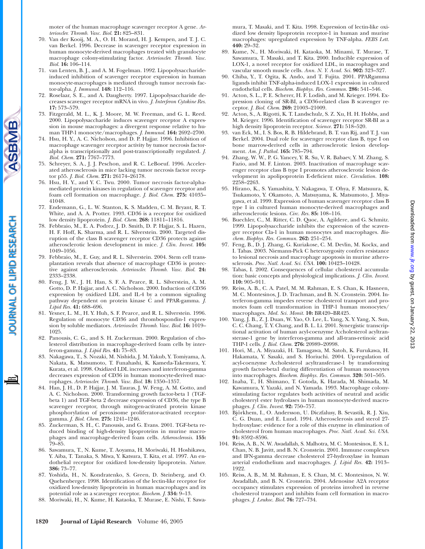moter of the human macrophage scavenger receptor A gene. *Arterioscler. Thromb. Vasc. Biol.* **21:** 825–831.

- 70. Van der Kooij, M. A., O. H. Morand, H. J. Kempen, and T. J. C. van Berkel. 1996. Decrease in scavenger receptor expression in human monocyte-derived macrophages treated with granulocyte macrophage colony-stimulating factor. *Arterioscler. Thromb. Vasc. Biol.* **16:** 106–114.
- 71. van Lenten, B. J., and A. M. Fogelman. 1992. Lipopolysaccharideinduced inhibition of scavenger receptor expression in human monocyte-macrophages is mediated through tumor necrosis factor-alpha. *J. Immunol.* **148:** 112–116.
- 72. Roselaar, S. E., and A. Daugherty. 1997. Lipopolysaccharide decreases scavenger receptor mRNA in vivo. *J. Interferon Cytokine Res.* **17:** 573–579.
- 73. Fitzgerald, M. L., K. J. Moore, M. W. Freeman, and G. L. Reed. 2000. Lipopolysaccharide induces scavenger receptor A expression in mouse macrophages: a divergent response relative to human THP-1 monocyte/macrophages. *J. Immunol.* **164:** 2692–2700.
- 74. Hsu, H. Y., A. C. Nicholson, and D. P. Hajjar. 1996. Inhibition of macrophage scavenger receptor activity by tumor necrosis factoralpha is transcriptionally and post-transcriptionally regulated. *J. Biol. Chem.* **271:** 7767–7773.
- 75. Schreyer, S. A., J. J. Peschon, and R. C. LeBoeuf. 1996. Accelerated atherosclerosis in mice lacking tumor necrosis factor receptor p55. *J. Biol. Chem.* **271:** 26174–26178.
- 76. Hsu, H. Y., and Y. C. Twu. 2000. Tumor necrosis factor-alphamediated protein kinases in regulation of scavenger receptor and foam cell formation on macrophage. *J. Biol. Chem.* **275:** 41035– 41048.
- 77. Endemann, G., L. W. Stanton, K. S. Madden, C. M. Bryant, R. T. White, and A. A. Protter. 1993. CD36 is a receptor for oxidized low density lipoprotein. *J. Biol. Chem.* **268:** 11811–11816.
- 78. Febbraio, M., E. A. Podrez, J. D. Smith, D. P. Hajjar, S. L. Hazen, H. F. Hoff, K. Sharma, and R. L. Silverstein. 2000. Targeted disruption of the class B scavenger receptor CD36 protects against atherosclerotic lesion development in mice. *J. Clin. Invest.* **105:** 1049–1056.
- 79. Febbraio, M., E. Guy, and R. L. Silverstein. 2004. Stem cell transplantation reveals that absence of macrophage CD36 is protective against atherosclerosis. *Arterioscler. Thromb. Vasc. Biol.* **24:** 2333–2338.
- 80. Feng, J. W., J. H. Han, S. F. A. Pearce, R. L. Silverstein, A. M. Gotto, D. P. Hajjar, and A. C. Nicholson. 2000. Induction of CD36 expression by oxidized LDL and IL-4 by a common signaling pathway dependent on protein kinase C and PPAR-gamma. *J. Lipid Res.* **41:** 688–696.
- 81. Yesner, L. M., H. Y. Huh, S. F. Pearce, and R. L. Silverstein. 1996. Regulation of monocyte CD36 and thrombospondin-1 expression by soluble mediators. *Arterioscler. Thromb. Vasc. Biol.* **16:** 1019– 1025.
- 82. Panousis, C. G., and S. H. Zuckerman. 2000. Regulation of cholesterol distribution in macrophage-derived foam cells by interferon-gamma. *J. Lipid Res.* **41:** 75–83.
- 83. Nakagawa, T., S. Nozaki, M. Nishida, J. M. Yakub, Y. Tomiyama, A. Nakata, K. Matsumoto, T. Funahashi, K. Kameda-Takemura, Y. Kurata, et al. 1998. Oxidized LDL increases and interferon-gamma decreases expression of CD36 in human monocyte-derived macrophages. *Arterioscler. Thromb. Vasc. Biol.* **18:** 1350–1357.
- 84. Han, J. H., D. P. Hajjar, J. M. Tauras, J. W. Feng, A. M. Gotto, and A. C. Nicholson. 2000. Transforming growth factor-beta 1 (TGFbeta 1) and TGF-beta 2 decrease expression of CD36, the type B scavenger receptor, through mitogen-activated protein kinase phosphorylation of peroxisome proliferator-activated receptorgamma. *J. Biol. Chem.* **275:** 1241–1246.
- 85. Zuckerman, S. H., C. Panousis, and G. Evans. 2001. TGF-beta reduced binding of high-density lipoproteins in murine macrophages and macrophage-derived foam cells. *Atherosclerosis.* **155:** 79–85.
- 86. Sawamura, T., N. Kume, T. Aoyama, H. Moriwaki, H. Hoshikawa, Y. Aiba, T. Tanaka, S. Miwa, Y. Katsura, T. Kita, et al. 1997. An endothelial receptor for oxidized low-density lipoprotein. *Nature.* **386:** 73–77.
- 87. Yoshida, H., N. Kondratenko, S. Green, D. Steinberg, and O. Quehenberger. 1998. Identification of the lectin-like receptor for oxidized low-density lipoprotein in human macrophages and its potential role as a scavenger receptor. *Biochem. J.* **334:** 9–13.
- 88. Moriwaki, H., N. Kume, H. Kataoka, T. Murase, E. Nishi, T. Sawa-

mura, T. Masaki, and T. Kita. 1998. Expression of lectin-like oxidized low density lipoprotein receptor-1 in human and murine macrophages: upregulated expression by TNF-alpha. *FEBS Lett.* **440:** 29–32.

- 89. Kume, N., H. Moriwaki, H. Kataoka, M. Minami, T. Murase, T. Sawamura, T. Masaki, and T. Kita. 2000. Inducible expression of LOX-1, a novel receptor for oxidized LDL, in macrophages and vascular smooth muscle cells. *Ann. N. Y. Acad. Sci.* **902:** 323–327.
- 90. Chiba, Y., T. Ogita, K. Ando, and T. Fujita. 2001. PPARgamma ligands inhibit TNF-alpha-induced LOX-1 expression in cultured endothelial cells. *Biochem. Biophys. Res. Commun.* **286:** 541–546.
- 91. Acton, S. L., P. E. Scherer, H. F. Lodish, and M. Krieger. 1994. Expression cloning of SR-BI, a CD36-related class B scavenger receptor. *J. Biol. Chem.* **269:** 21003–21009.
- 92. Acton, S., A. Rigotti, K. T. Landschulz, S. Z. Xu, H. H. Hobbs, and M. Krieger. 1996. Identification of scavenger receptor SR-BI as a high density lipoprotein receptor. *Science.* **271:** 518–520.
- 93. van Eck, M., I. S. Bos, R. B. Hildebrand, B. T. van Rij, and T. J. van Berkel. 2004. Dual role for scavenger receptor class B, type I on bone marrow-derived cells in atherosclerotic lesion development. *Am. J. Pathol.* **165:** 785–794.
- 94. Zhang, W. W., P. G. Yancey, Y. R. Su, V. R. Babaev, Y. M. Zhang, S. Fazio, and M. F. Linton. 2003. Inactivation of macrophage scavenger receptor class B type I promotes atherosclerotic lesion development in apolipoprotein E-deficient mice. *Circulation.* **108:** 2258–2263.
- 95. Hirano, K., S. Yamashita, Y. Nakagawa, T. Ohya, F. Matsuura, K. Tsukamoto, Y. Okamoto, A. Matsuyama, K. Matsumoto, J. Miyagawa, et al. 1999. Expression of human scavenger receptor class B type I in cultured human monocyte-derived macrophages and atherosclerotic lesions. *Circ. Res.* **85:** 108–116.
- 96. Buechler, C., M. Ritter, C. D. Quoc, A. Agildere, and G. Schmitz. 1999. Lipopolysaccharide inhibits the expression of the scavenger receptor Cla-1 in human monocytes and macrophages. *Biochem. Biophys. Res. Commun.* **262:** 251–254.
- 97. Feng, B., D. J. Zhang, G. Kuriakose, C. M. Devlin, M. Kockx, and I. Tabas. 2003. Niemann-Pick C heterozygosity confers resistance to lesional necrosis and macrophage apoptosis in murine atherosclerosis. *Proc. Natl. Acad. Sci. USA.* **100:** 10423–10428.
- 98. Tabas, I. 2002. Consequences of cellular cholesterol accumulation: basic concepts and physiological implications. *J. Clin. Invest.* **110:** 905–911.
- 99. Reiss, A. B., C. A. Patel, M. M. Rahman, E. S. Chan, K. Hasneen, M. C. Montesinos, J. D. Trachman, and B. N. Cronstein. 2004. Interferon-gamma impedes reverse cholesterol transport and promotes foam cell transformation in THP-1 human monocytes/ macrophages. *Med. Sci. Monit.* **10:** BR420–BR425.
- 100. Yang, J. B., Z. J. Duan, W. Yao, O. Lee, L. Yang, X. Y. Yang, X. Sun, C. C. Chang, T. Y. Chang, and B. L. Li. 2001. Synergistic transcriptional activation of human acyl-coenzyme A:cholesterol acyltransterase-1 gene by interferon-gamma and all-trans-retinoic acid THP-1 cells. *J. Biol. Chem.* **276:** 20989–20998.
- 101. Hori, M., A. Miyazaki, H. Tamagawa, M. Satoh, K. Furukawa, H. Hakamata, Y. Sasaki, and S. Horiuchi. 2004. Up-regulation of acyl-coenzyme A:cholesterol acyltransferase-1 by transforming growth factor-beta1 during differentiation of human monocytes into macrophages. *Biochem. Biophys. Res. Commun.* **320:** 501–505.
- 102. Inaba, T., H. Shimano, T. Gotoda, K. Harada, M. Shimada, M. Kawamura, Y. Yazaki, and N. Yamada. 1993. Macrophage colonystimulating factor regulates both activities of neutral and acidic cholesteryl ester hydrolases in human monocyte-derived macrophages. *J. Clin. Invest.* **92:** 750–757.
- 103. Björkhem, I., O. Andersson, U. Diczfalusy, B. Sevastik, R. J. Xiu, C. G. Duan, and E. Lund. 1994. Atherosclerosis and sterol 27 hydroxylase: evidence for a role of this enzyme in elimination of cholesterol from human macrophages. *Proc. Natl. Acad. Sci. USA.* **91:** 8592–8596.
- 104. Reiss, A. B., N. W. Awadallah, S. Malhotra, M. C. Montesinos, E. S. L. Chan, N. B. Javitt, and B. N. Cronstein. 2001. Immune complexes and IFN-gamma decrease cholesterol 27-hydroxylase in human arterial endothelium and macrophages. *J. Lipid Res.* **42:** 1913– 1922.
- 105. Reiss, A. B., M. M. Rahman, E. S. Chan, M. C. Montesinos, N. W. Awadallah, and B. N. Cronstein. 2004. Adenosine A2A receptor occupancy stimulates expression of proteins involved in reverse cholesterol transport and inhibits foam cell formation in macrophages. *J. Leukoc. Biol.* **76:** 727–734.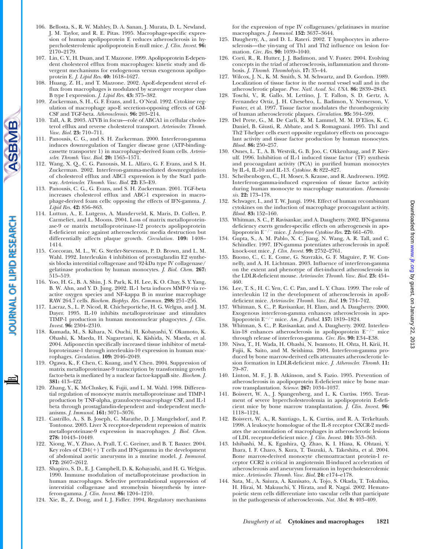- 106. Bellosta, S., R. W. Mahley, D. A. Sanan, J. Murata, D. L. Newland, J. M. Taylor, and R. E. Pitas. 1995. Macrophage-specific expression of human apolipoprotein E reduces atherosclerosis in hypercholesterolemic apolipoprotein E-null mice. *J. Clin. Invest.* **96:** 2170–2179.
- 107. Lin, C. Y., H. Duan, and T. Mazzone. 1999. Apolipoprotein E-dependent cholesterol efflux from macrophages: kinetic study and divergent mechanisms for endogenous versus exogenous apolipoprotein E. *J. Lipid Res.* **40:** 1618–1627.
- 108. Huang, Z. H., and T. Mazzone. 2002. ApoE-dependent sterol efflux from macrophages is modulated by scavenger receptor class B type I expression. *J. Lipid Res.* **43:** 375–382.
- 109. Zuckerman, S. H., G. F. Evans, and L. O'Neal. 1992. Cytokine regulation of macrophage apo-E secretion-opposing effects of GM-CSF and TGF-beta. *Atherosclerosis.* **96:** 203–214.
- 110. Tall, A. R. 2003. ATVB in focus—role of ABCA1 in cellular cholesterol efflux and reverse cholesterol transport. *Arterioscler. Thromb. Vasc. Biol.* **23:** 710–711.
- 111. Panousis, C. G., and S. H. Zuckerman. 2000. Interferon-gamma induces downregulation of Tangier disease gene (ATP-bindingcassette transporter 1) in macrophage-derived foam cells. *Arterioscler. Thromb. Vasc. Biol.* **20:** 1565–1571.
- 112. Wang, X. Q., C. G. Panousis, M. L. Alfaro, G. F. Evans, and S. H. Zuckerman. 2002. Interferon-gamma-mediated downregulation of cholesterol efflux and ABC1 expression is by the Stat1 pathway. *Arterioscler. Thromb. Vasc. Biol.* **22:** E5–E9.
- 113. Panousis, C. G., G. Evans, and S. H. Zuckerman. 2001. TGF-beta increases cholesterol efflux and ABC-1 expression in macrophage-derived foam cells: opposing the effects of IFN-gamma. *J. Lipid Res.* **42:** 856–863.
- 114. Luttun, A., E. Lutgens, A. Manderveld, K. Maris, D. Collen, P. Carmeliet, and L. Moons. 2004. Loss of matrix metalloproteinase-9 or matrix metalloproteinase-12 protects apolipoprotein E-deficient mice against atherosclerotic media destruction but differentially affects plaque growth. *Circulation.* **109:** 1408– 1414.
- 115. Corcoran, M. L., W. G. Stetler-Stevenson, P. D. Brown, and L. M. Wahl. 1992. Interleukin 4 inhibition of prostaglandin E2 synthesis blocks interstitial collagenase and 92-kDa type IV collagenase/ gelatinase production by human monocytes. *J. Biol. Chem.* **267:** 515–519.
- 116. Yoo, H. G., B. A. Shin, J. S. Park, K. H. Lee, K. O. Chay, S. Y. Yang, B. W. Ahn, and Y. D. Jung. 2002. IL-1 beta induces MMP-9 via reactive oxygen species and NF-kappa B in murine macrophage RAW 264.7 cells. *Biochem. Biophys. Res. Commun.* **298:** 251–256.
- 117. Lacraz, S., L. P. Nicod, R. Chicheportiche, H. G. Welgus, and J. M. Dayer. 1995. IL-10 inhibits metalloproteinase and stimulates TIMP-1 production in human mononuclear phagocytes. *J. Clin. Invest.* **96:** 2304–2310.
- 118. Kumada, M., S. Kihara, N. Ouchi, H. Kobayashi, Y. Okamoto, K. Ohashi, K. Maeda, H. Nagaretani, K. Kishida, N. Maeda, et al. 2004. Adiponectin specifically increased tissue inhibitor of metalloproteinase-1 through interleukin-10 expression in human macrophages. *Circulation.* **109:** 2046–2049.
- 119. Ogawa, K., F. Chen, C. Kuang, and Y. Chen. 2004. Suppression of matrix metalloproteinase-9 transcription by transforming growth factor-beta is mediated by a nuclear factor-kappaB site. *Biochem. J.* **381:** 413–422.
- 120. Zhang, Y., K. McCluskey, K. Fujii, and L. M. Wahl. 1998. Differential regulation of monocyte matrix metalloproteinase and TIMP-1 production by TNF-alpha, granulocyte-macrophage CSF, and IL-1 beta through prostaglandin-dependent and -independent mechanisms. *J. Immunol.* **161:** 3071–3076.
- 121. Castrillo, A., S. B. Joseph, C. Marathe, D. J. Mangelsdorf, and P. Tontonoz. 2003. Liver X receptor-dependent repression of matrix metalloproteinase-9 expression in macrophages. *J. Biol. Chem.* **278:** 10443–10449.
- 122. Xiong, W., Y. Zhao, A. Prall, T. C. Greiner, and B. T. Baxter. 2004. Key roles of  $CD4(+)$  T cells and IFN-gamma in the development of abdominal aortic aneurysms in a murine model. *J. Immunol.* **172:** 2607–2612.
- 123. Shapiro, S. D., E. J. Campbell, D. K. Kobayashi, and H. G. Welgus. 1990. Immune modulation of metalloproteinase production in human macrophages. Selective pretranslational suppression of interstitial collagenase and stromelysin biosynthesis by interferon-gamma. *J. Clin. Invest.* **86:** 1204–1210.
- 124. Xie, B., Z. Dong, and I. J. Fidler. 1994. Regulatory mechanisms

for the expression of type IV collagenases/gelatinases in murine macrophages. *J. Immunol.* **152:** 3637–3644.

- 125. Daugherty, A., and D. L. Rateri. 2002. T lymphocytes in atherosclerosis—the yin-yang of Th1 and Th2 influence on lesion formation. *Circ. Res.* **90:** 1039–1040.
- 126. Corti, R., R. Hutter, J. J. Badimon, and V. Fuster. 2004. Evolving concepts in the triad of atherosclerosis, inflammation and thrombosis. *J. Thromb. Thrombolysis.* **17:** 35–44.
- 127. Wilcox, J. N., K. M. Smith, S. M. Schwartz, and D. Gordon. 1989. Localization of tissue factor in the normal vessel wall and in the atherosclerotic plaque. *Proc. Natl. Acad. Sci. USA.* **86:** 2839–2843.
- 128. Toschi, V., R. Gallo, M. Lettino, J. T. Fallon, S. D. Gertz, A. Fernandez Ortiz, J. H. Chesebro, L. Badimon, Y. Nemerson, V. Fuster, et al. 1997. Tissue factor modulates the thrombogenicity of human atherosclerotic plaques. *Circulation.* **95:** 594–599.
- 129. Del Prete, G., M. De Carli, R. M. Lammel, M. M. D'Elios, K. C. Daniel, B. Giusti, R. Abbate, and S. Romagnani. 1995. Th1 and Th2 T-helper cells exert opposite regulatory effects on procoagulant activity and tissue factor production by human monocytes. *Blood.* **86:** 250–257.
- 130. Osnes, L. T., A. B. Westvik, G. B. Joo, C. Okkenhaug, and P. Kierulf. 1996. Inhibition of IL-1 induced tissue factor (TF) synthesis and procoagulant activity (PCA) in purified human monocytes by IL-4, IL-10 and IL-13. *Cytokine.* **8:** 822–827.
- 131. Scheibenbogen, C., H. Moser, S. Krause, and R. Andreesen. 1992. Interferon-gamma-induced expression of tissue factor activity during human monocyte to macrophage maturation. *Haemostasis.* **22:** 173–178.
- 132. Schwager, I., and T. W. Jungi. 1994. Effect of human recombinant cytokines on the induction of macrophage procoagulant activity. *Blood.* **83:** 152–160.
- 133. Whitman, S. C., P. Ravisankar, and A. Daugherty. 2002. IFN-gamma deficiency exerts gender-specific effects on atherogenesis in apolipoprotein E<sup>-/-</sup> mice. *J. Interferon Cytokine Res.* **22:** 661–670.
- 134. Gupta, S., A. M. Pablo, X. C. Jiang, N. Wang, A. R. Tall, and C. Schindler. 1997. IFN-gamma potentiates atherosclerosis in apoE knock-out mice. *J. Clin. Invest.* **99:** 2752–2761.
- 135. Buono, C., C. E. Come, G. Stavrakis, G. F. Maguire, P. W. Connelly, and A. H. Lichtman. 2003. Influence of interferon-gamma on the extent and phenotype of diet-induced atherosclerosis in the LDLR-deficient mouse. *Arterioscler. Thromb. Vasc. Biol.* **23:** 454– 460.
- 136. Lee, T. S., H. C. Yen, C. C. Pan, and L. Y. Chau. 1999. The role of interleukin 12 in the development of atherosclerosis in apoEdeficient mice. *Arterioscler. Thromb. Vasc. Biol.* **19:** 734–742.
- 137. Whitman, S. C., P. Ravisankar, H. Elam, and A. Daugherty. 2000. Exogenous interferon-gamma enhances atherosclerosis in apolipoprotein E<sup>-/-</sup> mice. *Am. J. Pathol.* **157:** 1819-1824.
- 138. Whitman, S. C., P. Ravisankar, and A. Daugherty. 2002. Interleukin-18 enhances atherosclerosis in apolipoprotein  $E^{-/-}$  mice through release of interferon-gamma. *Circ. Res.* **90:** E34–E38.
- 139. Niwa, T., H. Wada, H. Ohashi, N. Iwamoto, H. Ohta, H. Kirii, H. Fujii, K. Saito, and M. Seishima. 2004. Interferon-gamma produced by bone marrow-derived cells attenuates atherosclerotic lesion formation in LDLR-deficient mice. *J. Atheroscler. Thromb.* **11:** 79–87.
- 140. Linton, M. F., J. B. Atkinson, and S. Fazio. 1995. Prevention of atherosclerosis in apolipoprotein E-deficient mice by bone marrow transplantation. *Science.* **267:** 1034–1037.
- 141. Boisvert, W. A., J. Spangenberg, and L. K. Curtiss. 1995. Treatment of severe hypercholesterolemia in apolipoprotein E-deficient mice by bone marrow transplantation. *J. Clin. Invest.* **96:** 1118–1124.
- 142. Boisvert, W. A., R. Santiago, L. K. Curtiss, and R. A. Terkeltaub. 1998. A leukocyte homologue of the IL-8 receptor CXCR-2 mediates the accumulation of macrophages in atherosclerotic lesions of LDL receptor-deficient mice. *J. Clin. Invest.* **101:** 353–363.
- 143. Ishibashi, M., K. Egashira, Q. Zhao, K. I. Hiasa, K. Ohtani, Y. Ihara, I. F. Charo, S. Kura, T. Tsuzuki, A. Takeshita, et al. 2004. Bone marrow-derived monocyte chemoattractant protein-1 receptor CCR2 is critical in angiotensin II-induced acceleration of atherosclerosis and aneurysm formation in hypercholesterolemic mice. *Arterioscler. Thromb. Vasc. Biol.* **24:** e174–e178.
- 144. Sata, M., A. Saiura, A. Kunisato, A. Tojo, S. Okada, T. Tokuhisa, H. Hirai, M. Makuuchi, Y. Hirata, and R. Nagai. 2002. Hematopoietic stem cells differentiate into vascular cells that participate in the pathogenesis of atherosclerosis. *Nat. Med.* **8:** 403–409.